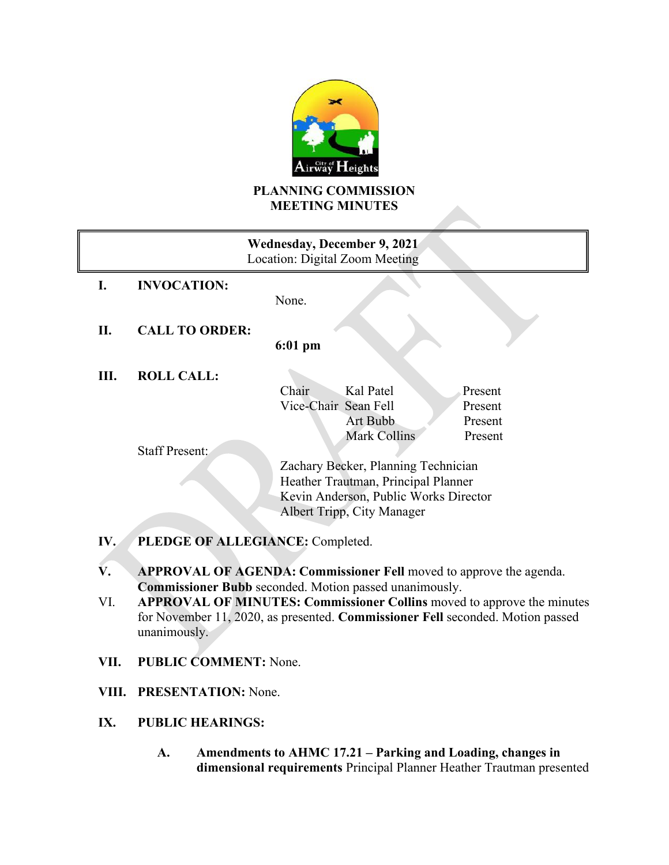

# **PLANNING COMMISSION MEETING MINUTES**

| <b>Wednesday, December 9, 2021</b><br>Location: Digital Zoom Meeting |                       |                                       |                     |         |  |
|----------------------------------------------------------------------|-----------------------|---------------------------------------|---------------------|---------|--|
| I.                                                                   | <b>INVOCATION:</b>    | None.                                 |                     |         |  |
| П.                                                                   | <b>CALL TO ORDER:</b> |                                       |                     |         |  |
|                                                                      |                       | $6:01$ pm                             |                     |         |  |
| Ш.                                                                   | <b>ROLL CALL:</b>     |                                       |                     |         |  |
|                                                                      |                       | Chair                                 | Kal Patel           | Present |  |
|                                                                      |                       | Vice-Chair Sean Fell                  |                     | Present |  |
|                                                                      |                       |                                       | Art Bubb            | Present |  |
|                                                                      |                       |                                       | <b>Mark Collins</b> | Present |  |
|                                                                      | <b>Staff Present:</b> |                                       |                     |         |  |
|                                                                      |                       | Zachary Becker, Planning Technician   |                     |         |  |
|                                                                      |                       | Heather Trautman, Principal Planner   |                     |         |  |
|                                                                      |                       | Kevin Anderson, Public Works Director |                     |         |  |
|                                                                      |                       | Albert Tripp, City Manager            |                     |         |  |
| PLEDGE OF ALLEGIANCE: Completed.<br>IV.                              |                       |                                       |                     |         |  |

- **V. APPROVAL OF AGENDA: Commissioner Fell** moved to approve the agenda. **Commissioner Bubb** seconded. Motion passed unanimously.
- VI. **APPROVAL OF MINUTES: Commissioner Collins** moved to approve the minutes for November 11, 2020, as presented. **Commissioner Fell** seconded. Motion passed unanimously.
- **VII. PUBLIC COMMENT:** None.
- **VIII. PRESENTATION:** None.
- **IX. PUBLIC HEARINGS:**
	- **A. Amendments to AHMC 17.21 – Parking and Loading, changes in dimensional requirements** Principal Planner Heather Trautman presented